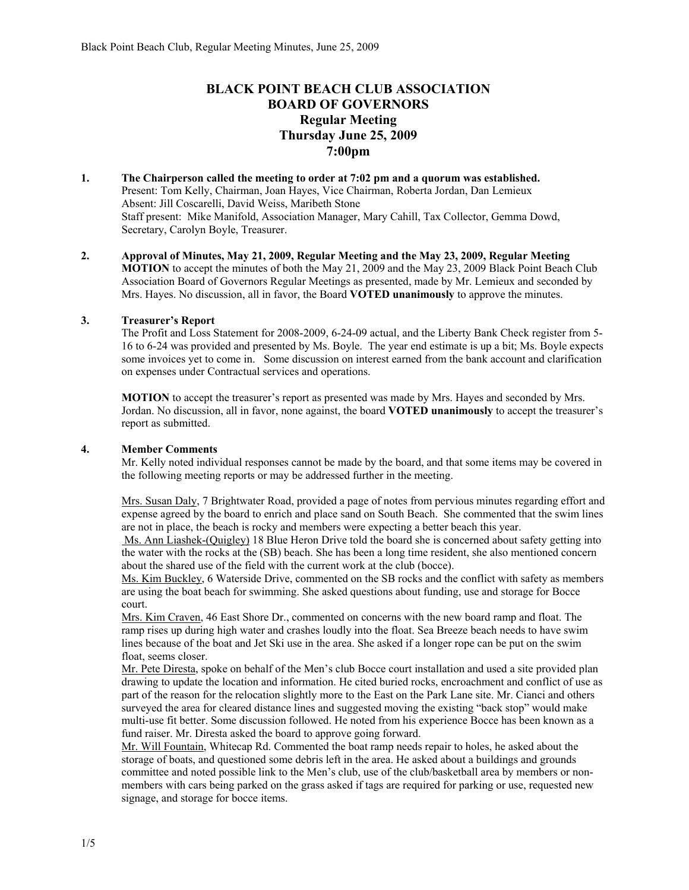# **BLACK POINT BEACH CLUB ASSOCIATION BOARD OF GOVERNORS Regular Meeting Thursday June 25, 2009 7:00pm**

- **1. The Chairperson called the meeting to order at 7:02 pm and a quorum was established.**  Present: Tom Kelly, Chairman, Joan Hayes, Vice Chairman, Roberta Jordan, Dan Lemieux Absent: Jill Coscarelli, David Weiss, Maribeth Stone Staff present: Mike Manifold, Association Manager, Mary Cahill, Tax Collector, Gemma Dowd, Secretary, Carolyn Boyle, Treasurer.
- **2. Approval of Minutes, May 21, 2009, Regular Meeting and the May 23, 2009, Regular Meeting MOTION** to accept the minutes of both the May 21, 2009 and the May 23, 2009 Black Point Beach Club Association Board of Governors Regular Meetings as presented, made by Mr. Lemieux and seconded by Mrs. Hayes. No discussion, all in favor, the Board **VOTED unanimously** to approve the minutes.

#### **3. Treasurer's Report**

The Profit and Loss Statement for 2008-2009, 6-24-09 actual, and the Liberty Bank Check register from 5- 16 to 6-24 was provided and presented by Ms. Boyle. The year end estimate is up a bit; Ms. Boyle expects some invoices yet to come in. Some discussion on interest earned from the bank account and clarification on expenses under Contractual services and operations.

**MOTION** to accept the treasurer's report as presented was made by Mrs. Hayes and seconded by Mrs. Jordan. No discussion, all in favor, none against, the board **VOTED unanimously** to accept the treasurer's report as submitted.

### **4. Member Comments**

Mr. Kelly noted individual responses cannot be made by the board, and that some items may be covered in the following meeting reports or may be addressed further in the meeting.

Mrs. Susan Daly, 7 Brightwater Road, provided a page of notes from pervious minutes regarding effort and expense agreed by the board to enrich and place sand on South Beach. She commented that the swim lines are not in place, the beach is rocky and members were expecting a better beach this year.

 Ms. Ann Liashek-(Quigley) 18 Blue Heron Drive told the board she is concerned about safety getting into the water with the rocks at the (SB) beach. She has been a long time resident, she also mentioned concern about the shared use of the field with the current work at the club (bocce).

Ms. Kim Buckley, 6 Waterside Drive, commented on the SB rocks and the conflict with safety as members are using the boat beach for swimming. She asked questions about funding, use and storage for Bocce court.

Mrs. Kim Craven, 46 East Shore Dr., commented on concerns with the new board ramp and float. The ramp rises up during high water and crashes loudly into the float. Sea Breeze beach needs to have swim lines because of the boat and Jet Ski use in the area. She asked if a longer rope can be put on the swim float, seems closer.

Mr. Pete Diresta, spoke on behalf of the Men's club Bocce court installation and used a site provided plan drawing to update the location and information. He cited buried rocks, encroachment and conflict of use as part of the reason for the relocation slightly more to the East on the Park Lane site. Mr. Cianci and others surveyed the area for cleared distance lines and suggested moving the existing "back stop" would make multi-use fit better. Some discussion followed. He noted from his experience Bocce has been known as a fund raiser. Mr. Diresta asked the board to approve going forward.

Mr. Will Fountain, Whitecap Rd. Commented the boat ramp needs repair to holes, he asked about the storage of boats, and questioned some debris left in the area. He asked about a buildings and grounds committee and noted possible link to the Men's club, use of the club/basketball area by members or nonmembers with cars being parked on the grass asked if tags are required for parking or use, requested new signage, and storage for bocce items.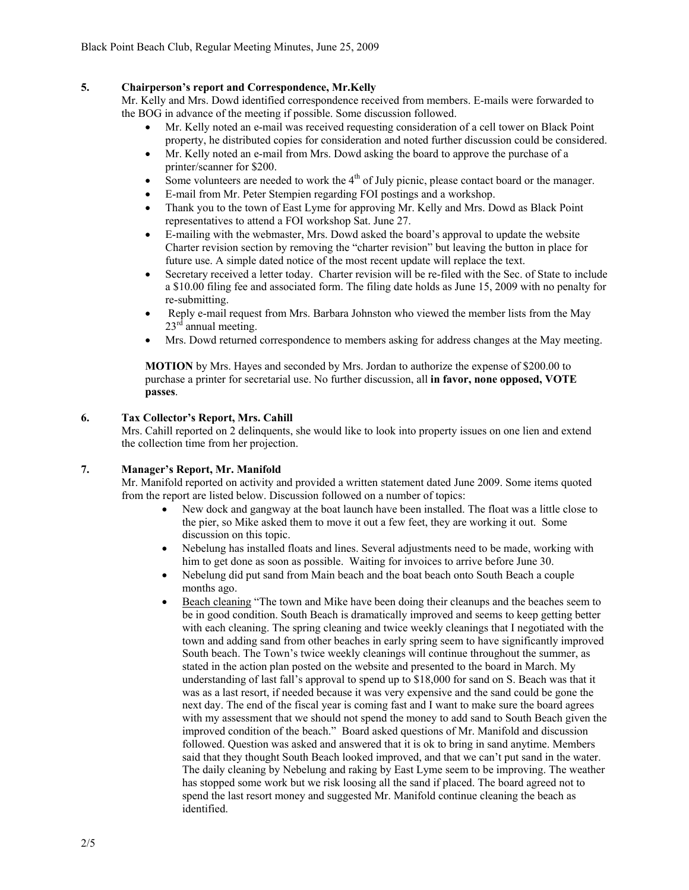# **5. Chairperson's report and Correspondence, Mr.Kelly**

Mr. Kelly and Mrs. Dowd identified correspondence received from members. E-mails were forwarded to the BOG in advance of the meeting if possible. Some discussion followed.

- Mr. Kelly noted an e-mail was received requesting consideration of a cell tower on Black Point property, he distributed copies for consideration and noted further discussion could be considered.
- Mr. Kelly noted an e-mail from Mrs. Dowd asking the board to approve the purchase of a printer/scanner for \$200.
- Some volunteers are needed to work the  $4<sup>th</sup>$  of July picnic, please contact board or the manager.
- E-mail from Mr. Peter Stempien regarding FOI postings and a workshop.
- Thank you to the town of East Lyme for approving Mr. Kelly and Mrs. Dowd as Black Point representatives to attend a FOI workshop Sat. June 27.
- E-mailing with the webmaster, Mrs. Dowd asked the board's approval to update the website Charter revision section by removing the "charter revision" but leaving the button in place for future use. A simple dated notice of the most recent update will replace the text.
- Secretary received a letter today. Charter revision will be re-filed with the Sec. of State to include a \$10.00 filing fee and associated form. The filing date holds as June 15, 2009 with no penalty for re-submitting.
- Reply e-mail request from Mrs. Barbara Johnston who viewed the member lists from the May  $23<sup>rd</sup>$  annual meeting.
- Mrs. Dowd returned correspondence to members asking for address changes at the May meeting.

**MOTION** by Mrs. Hayes and seconded by Mrs. Jordan to authorize the expense of \$200.00 to purchase a printer for secretarial use. No further discussion, all **in favor, none opposed, VOTE passes**.

## **6. Tax Collector's Report, Mrs. Cahill**

 Mrs. Cahill reported on 2 delinquents, she would like to look into property issues on one lien and extend the collection time from her projection.

# **7. Manager's Report, Mr. Manifold**

Mr. Manifold reported on activity and provided a written statement dated June 2009. Some items quoted from the report are listed below. Discussion followed on a number of topics:

- New dock and gangway at the boat launch have been installed. The float was a little close to the pier, so Mike asked them to move it out a few feet, they are working it out. Some discussion on this topic.
- Nebelung has installed floats and lines. Several adjustments need to be made, working with him to get done as soon as possible. Waiting for invoices to arrive before June 30.
- Nebelung did put sand from Main beach and the boat beach onto South Beach a couple months ago.
- Beach cleaning "The town and Mike have been doing their cleanups and the beaches seem to be in good condition. South Beach is dramatically improved and seems to keep getting better with each cleaning. The spring cleaning and twice weekly cleanings that I negotiated with the town and adding sand from other beaches in early spring seem to have significantly improved South beach. The Town's twice weekly cleanings will continue throughout the summer, as stated in the action plan posted on the website and presented to the board in March. My understanding of last fall's approval to spend up to \$18,000 for sand on S. Beach was that it was as a last resort, if needed because it was very expensive and the sand could be gone the next day. The end of the fiscal year is coming fast and I want to make sure the board agrees with my assessment that we should not spend the money to add sand to South Beach given the improved condition of the beach." Board asked questions of Mr. Manifold and discussion followed. Question was asked and answered that it is ok to bring in sand anytime. Members said that they thought South Beach looked improved, and that we can't put sand in the water. The daily cleaning by Nebelung and raking by East Lyme seem to be improving. The weather has stopped some work but we risk loosing all the sand if placed. The board agreed not to spend the last resort money and suggested Mr. Manifold continue cleaning the beach as identified.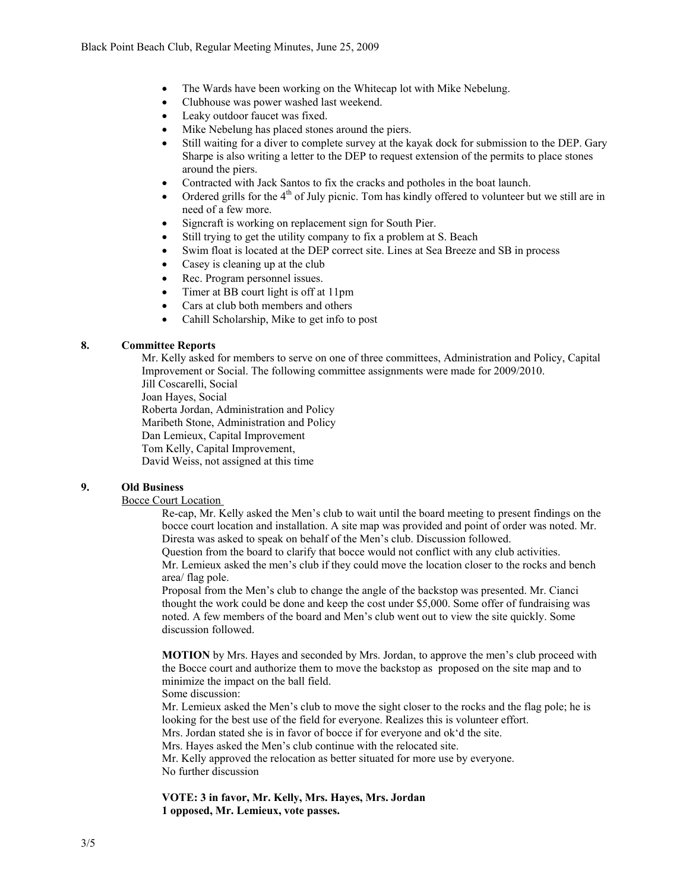- The Wards have been working on the Whitecap lot with Mike Nebelung.
- Clubhouse was power washed last weekend.
- Leaky outdoor faucet was fixed.
- Mike Nebelung has placed stones around the piers.
- Still waiting for a diver to complete survey at the kayak dock for submission to the DEP. Gary Sharpe is also writing a letter to the DEP to request extension of the permits to place stones around the piers.
- Contracted with Jack Santos to fix the cracks and potholes in the boat launch.
- Ordered grills for the  $4<sup>th</sup>$  of July picnic. Tom has kindly offered to volunteer but we still are in need of a few more.
- Signcraft is working on replacement sign for South Pier.
- Still trying to get the utility company to fix a problem at S. Beach
- Swim float is located at the DEP correct site. Lines at Sea Breeze and SB in process
- Casey is cleaning up at the club
- Rec. Program personnel issues.
- Timer at BB court light is off at 11pm
- Cars at club both members and others
- Cahill Scholarship, Mike to get info to post

#### **8. Committee Reports**

Mr. Kelly asked for members to serve on one of three committees, Administration and Policy, Capital Improvement or Social. The following committee assignments were made for 2009/2010. Jill Coscarelli, Social

Joan Hayes, Social

Roberta Jordan, Administration and Policy Maribeth Stone, Administration and Policy Dan Lemieux, Capital Improvement Tom Kelly, Capital Improvement, David Weiss, not assigned at this time

#### **9. Old Business**

Bocce Court Location

Re-cap, Mr. Kelly asked the Men's club to wait until the board meeting to present findings on the bocce court location and installation. A site map was provided and point of order was noted. Mr. Diresta was asked to speak on behalf of the Men's club. Discussion followed.

Question from the board to clarify that bocce would not conflict with any club activities. Mr. Lemieux asked the men's club if they could move the location closer to the rocks and bench area/ flag pole.

Proposal from the Men's club to change the angle of the backstop was presented. Mr. Cianci thought the work could be done and keep the cost under \$5,000. Some offer of fundraising was noted. A few members of the board and Men's club went out to view the site quickly. Some discussion followed.

**MOTION** by Mrs. Hayes and seconded by Mrs. Jordan, to approve the men's club proceed with the Bocce court and authorize them to move the backstop as proposed on the site map and to minimize the impact on the ball field.

Some discussion:

Mr. Lemieux asked the Men's club to move the sight closer to the rocks and the flag pole; he is looking for the best use of the field for everyone. Realizes this is volunteer effort. Mrs. Jordan stated she is in favor of bocce if for everyone and ok'd the site.

Mrs. Hayes asked the Men's club continue with the relocated site.

Mr. Kelly approved the relocation as better situated for more use by everyone. No further discussion

**VOTE: 3 in favor, Mr. Kelly, Mrs. Hayes, Mrs. Jordan 1 opposed, Mr. Lemieux, vote passes.**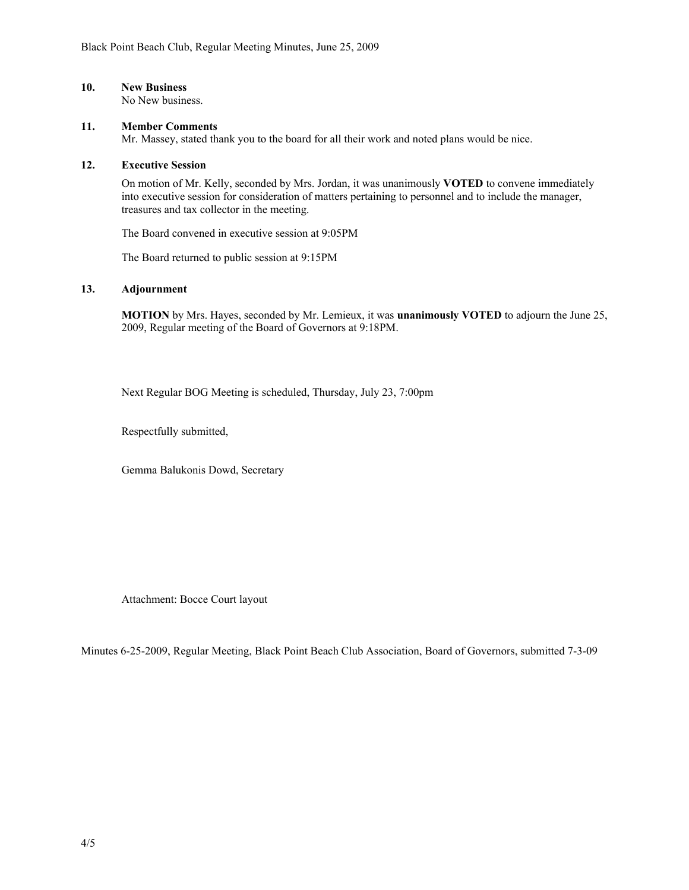## **10. New Business**

No New business.

#### **11. Member Comments**

Mr. Massey, stated thank you to the board for all their work and noted plans would be nice.

#### **12. Executive Session**

On motion of Mr. Kelly, seconded by Mrs. Jordan, it was unanimously **VOTED** to convene immediately into executive session for consideration of matters pertaining to personnel and to include the manager, treasures and tax collector in the meeting.

The Board convened in executive session at 9:05PM

The Board returned to public session at 9:15PM

#### **13. Adjournment**

**MOTION** by Mrs. Hayes, seconded by Mr. Lemieux, it was **unanimously VOTED** to adjourn the June 25, 2009, Regular meeting of the Board of Governors at 9:18PM.

Next Regular BOG Meeting is scheduled, Thursday, July 23, 7:00pm

Respectfully submitted,

Gemma Balukonis Dowd, Secretary

Attachment: Bocce Court layout

Minutes 6-25-2009, Regular Meeting, Black Point Beach Club Association, Board of Governors, submitted 7-3-09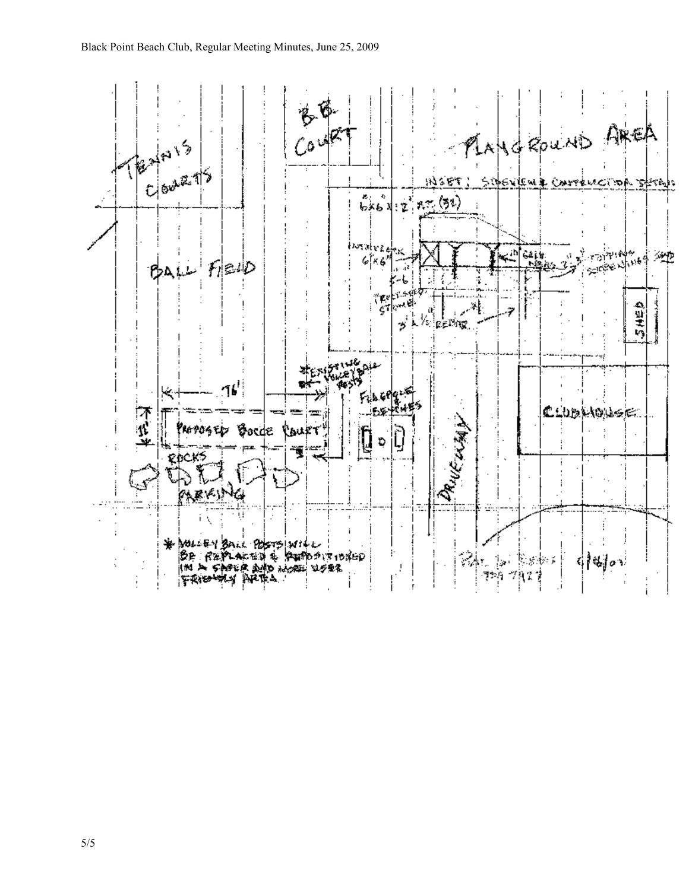